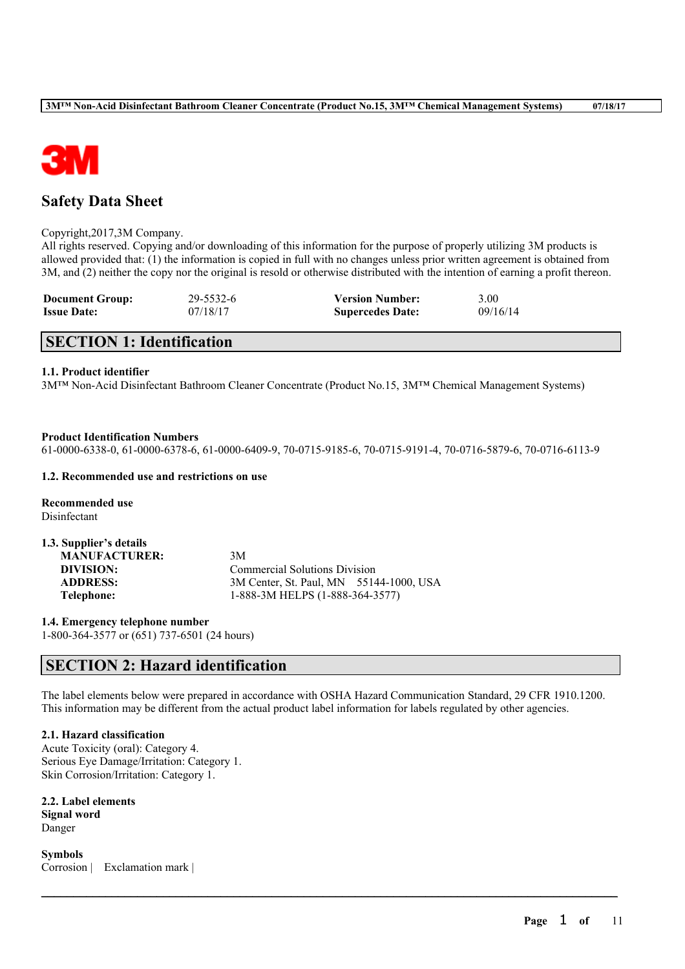

# **Safety Data Sheet**

### Copyright,2017,3M Company.

All rights reserved. Copying and/or downloading of this information for the purpose of properly utilizing 3M products is allowed provided that: (1) the information is copied in full with no changes unless prior written agreement is obtained from 3M, and (2) neither the copy nor the original is resold or otherwise distributed with the intention of earning a profit thereon.

| <b>Document Group:</b> | 29-5532-6 | <b>Version Number:</b>  | 3.00     |
|------------------------|-----------|-------------------------|----------|
| <b>Issue Date:</b>     | 07/18/17  | <b>Supercedes Date:</b> | 09/16/14 |

# **SECTION 1: Identification**

# **1.1. Product identifier**

3M™ Non-Acid Disinfectant Bathroom Cleaner Concentrate (Product No.15, 3M™ Chemical Management Systems)

### **Product Identification Numbers**

61-0000-6338-0, 61-0000-6378-6, 61-0000-6409-9, 70-0715-9185-6, 70-0715-9191-4, 70-0716-5879-6, 70-0716-6113-9

#### **1.2. Recommended use and restrictions on use**

**Recommended use** Disinfectant

| 1.3. Supplier's details |                                         |  |
|-------------------------|-----------------------------------------|--|
| <b>MANUFACTURER:</b>    | 3M                                      |  |
| DIVISION:               | <b>Commercial Solutions Division</b>    |  |
| <b>ADDRESS:</b>         | 3M Center, St. Paul, MN 55144-1000, USA |  |
| Telephone:              | 1-888-3M HELPS (1-888-364-3577)         |  |

**1.4. Emergency telephone number** 1-800-364-3577 or (651) 737-6501 (24 hours)

# **SECTION 2: Hazard identification**

The label elements below were prepared in accordance with OSHA Hazard Communication Standard, 29 CFR 1910.1200. This information may be different from the actual product label information for labels regulated by other agencies.

 $\mathcal{L}_\mathcal{L} = \mathcal{L}_\mathcal{L} = \mathcal{L}_\mathcal{L} = \mathcal{L}_\mathcal{L} = \mathcal{L}_\mathcal{L} = \mathcal{L}_\mathcal{L} = \mathcal{L}_\mathcal{L} = \mathcal{L}_\mathcal{L} = \mathcal{L}_\mathcal{L} = \mathcal{L}_\mathcal{L} = \mathcal{L}_\mathcal{L} = \mathcal{L}_\mathcal{L} = \mathcal{L}_\mathcal{L} = \mathcal{L}_\mathcal{L} = \mathcal{L}_\mathcal{L} = \mathcal{L}_\mathcal{L} = \mathcal{L}_\mathcal{L}$ 

# **2.1. Hazard classification**

Acute Toxicity (oral): Category 4. Serious Eye Damage/Irritation: Category 1. Skin Corrosion/Irritation: Category 1.

**2.2. Label elements Signal word** Danger

**Symbols** Corrosion | Exclamation mark |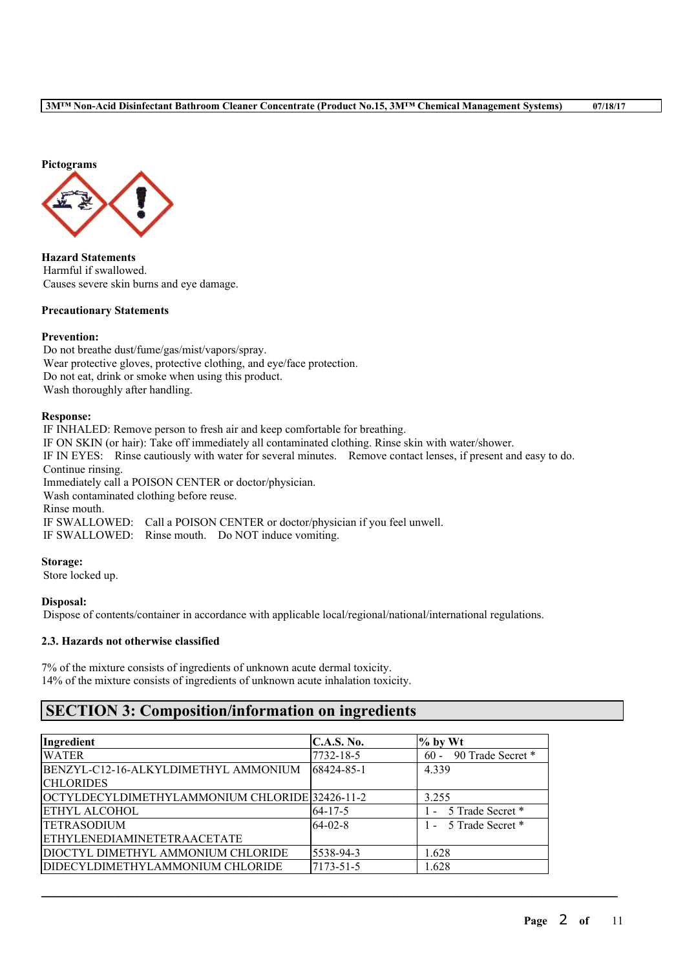

**Hazard Statements** Harmful if swallowed. Causes severe skin burns and eye damage.

# **Precautionary Statements**

### **Prevention:**

Do not breathe dust/fume/gas/mist/vapors/spray. Wear protective gloves, protective clothing, and eye/face protection. Do not eat, drink or smoke when using this product. Wash thoroughly after handling.

### **Response:**

IF INHALED: Remove person to fresh air and keep comfortable for breathing. IF ON SKIN (or hair): Take off immediately all contaminated clothing. Rinse skin with water/shower. IF IN EYES: Rinse cautiously with water for several minutes. Remove contact lenses, if present and easy to do. Continue rinsing. Immediately call a POISON CENTER or doctor/physician. Wash contaminated clothing before reuse. Rinse mouth. IF SWALLOWED: Call a POISON CENTER or doctor/physician if you feel unwell. IF SWALLOWED: Rinse mouth. Do NOT induce vomiting.

# **Storage:**

Store locked up.

#### **Disposal:**

Dispose of contents/container in accordance with applicable local/regional/national/international regulations.

# **2.3. Hazards not otherwise classified**

7% of the mixture consists of ingredients of unknown acute dermal toxicity. 14% of the mixture consists of ingredients of unknown acute inhalation toxicity.

# **SECTION 3: Composition/information on ingredients**

| Ingredient                                     | <b>C.A.S. No.</b> | $%$ by Wt                   |
|------------------------------------------------|-------------------|-----------------------------|
| <b>WATER</b>                                   | 7732-18-5         | 90 Trade Secret *<br>$60 -$ |
| IBENZYL-C12-16-ALKYLDIMETHYL AMMONIUM          | 68424-85-1        | 4.339                       |
| <b>CHLORIDES</b>                               |                   |                             |
| OCTYLDECYLDIMETHYLAMMONIUM CHLORIDE 32426-11-2 |                   | 3.255                       |
| <b>ETHYL ALCOHOL</b>                           | $64 - 17 - 5$     | 1 - 5 Trade Secret *        |
| <b>TETRASODIUM</b>                             | $64 - 02 - 8$     | 1 - 5 Trade Secret *        |
| <b>ETHYLENEDIAMINETETRAACETATE</b>             |                   |                             |
| DIOCTYL DIMETHYL AMMONIUM CHLORIDE             | 5538-94-3         | 1.628                       |
| DIDECYLDIMETHYLAMMONIUM CHLORIDE               | 7173-51-5         | 1.628                       |

 $\mathcal{L}_\mathcal{L} = \mathcal{L}_\mathcal{L} = \mathcal{L}_\mathcal{L} = \mathcal{L}_\mathcal{L} = \mathcal{L}_\mathcal{L} = \mathcal{L}_\mathcal{L} = \mathcal{L}_\mathcal{L} = \mathcal{L}_\mathcal{L} = \mathcal{L}_\mathcal{L} = \mathcal{L}_\mathcal{L} = \mathcal{L}_\mathcal{L} = \mathcal{L}_\mathcal{L} = \mathcal{L}_\mathcal{L} = \mathcal{L}_\mathcal{L} = \mathcal{L}_\mathcal{L} = \mathcal{L}_\mathcal{L} = \mathcal{L}_\mathcal{L}$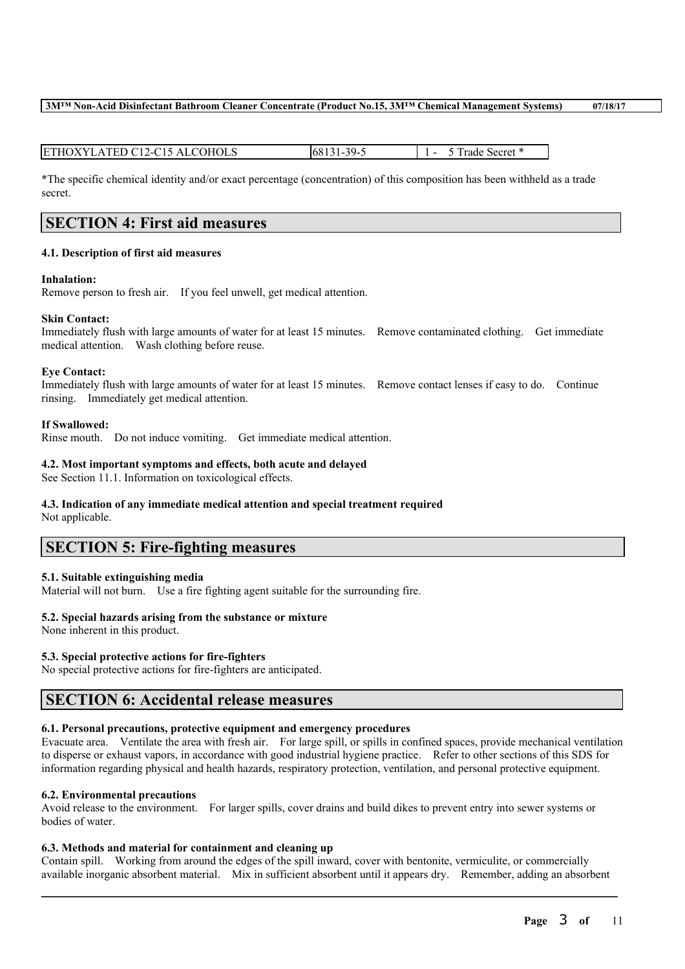| ETHOXYLATED C12-C15 ALCOHOLS | 68131-39-5 | 5 Trade Secret * |
|------------------------------|------------|------------------|
|                              |            |                  |

\*The specific chemical identity and/or exact percentage (concentration) of this composition has been withheld as a trade secret.

# **SECTION 4: First aid measures**

### **4.1. Description of first aid measures**

### **Inhalation:**

Remove person to fresh air. If you feel unwell, get medical attention.

### **Skin Contact:**

Immediately flush with large amounts of water for at least 15 minutes. Remove contaminated clothing. Get immediate medical attention. Wash clothing before reuse.

## **Eye Contact:**

Immediately flush with large amounts of water for at least 15 minutes. Remove contact lenses if easy to do. Continue rinsing. Immediately get medical attention.

### **If Swallowed:**

Rinse mouth. Do not induce vomiting. Get immediate medical attention.

# **4.2. Most important symptoms and effects, both acute and delayed**

See Section 11.1. Information on toxicological effects.

# **4.3. Indication of any immediate medical attention and special treatment required**

Not applicable.

# **SECTION 5: Fire-fighting measures**

# **5.1. Suitable extinguishing media**

Material will not burn. Use a fire fighting agent suitable for the surrounding fire.

# **5.2. Special hazards arising from the substance or mixture**

None inherent in this product.

# **5.3. Special protective actions for fire-fighters**

No special protective actions for fire-fighters are anticipated.

# **SECTION 6: Accidental release measures**

# **6.1. Personal precautions, protective equipment and emergency procedures**

Evacuate area. Ventilate the area with fresh air. For large spill, or spills in confined spaces, provide mechanical ventilation to disperse or exhaust vapors, in accordance with good industrial hygiene practice. Refer to other sections of this SDS for information regarding physical and health hazards, respiratory protection, ventilation, and personal protective equipment.

# **6.2. Environmental precautions**

Avoid release to the environment. For larger spills, cover drains and build dikes to prevent entry into sewer systems or bodies of water.

# **6.3. Methods and material for containment and cleaning up**

Contain spill. Working from around the edges of the spill inward, cover with bentonite, vermiculite, or commercially available inorganic absorbent material. Mix in sufficient absorbent until it appears dry. Remember, adding an absorbent

 $\mathcal{L}_\mathcal{L} = \mathcal{L}_\mathcal{L} = \mathcal{L}_\mathcal{L} = \mathcal{L}_\mathcal{L} = \mathcal{L}_\mathcal{L} = \mathcal{L}_\mathcal{L} = \mathcal{L}_\mathcal{L} = \mathcal{L}_\mathcal{L} = \mathcal{L}_\mathcal{L} = \mathcal{L}_\mathcal{L} = \mathcal{L}_\mathcal{L} = \mathcal{L}_\mathcal{L} = \mathcal{L}_\mathcal{L} = \mathcal{L}_\mathcal{L} = \mathcal{L}_\mathcal{L} = \mathcal{L}_\mathcal{L} = \mathcal{L}_\mathcal{L}$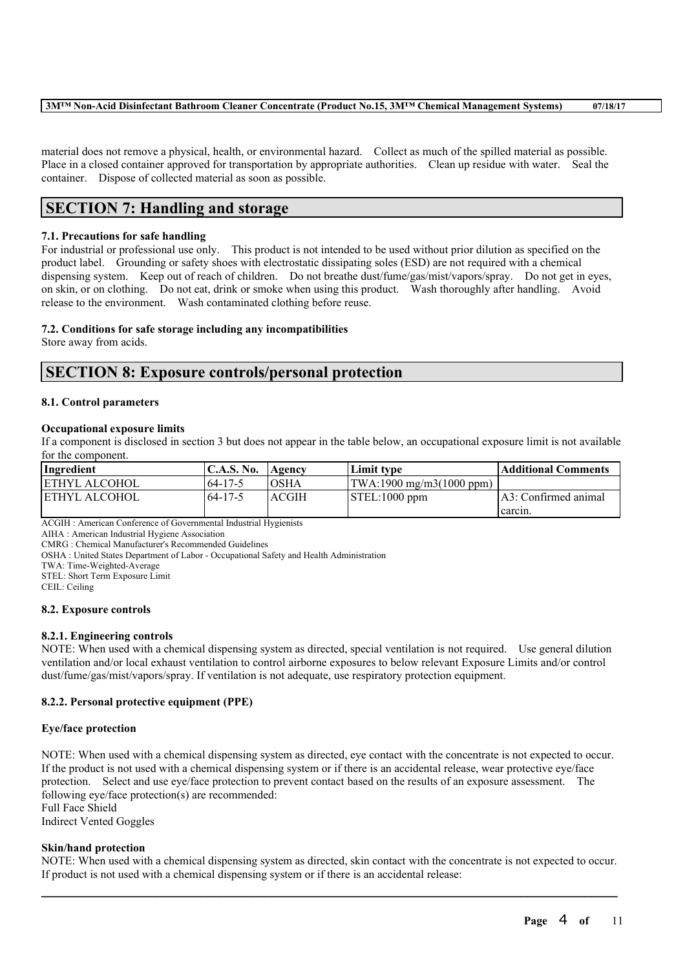material does not remove a physical, health, or environmental hazard. Collect as much of the spilled material as possible. Place in a closed container approved for transportation by appropriate authorities. Clean up residue with water. Seal the container. Dispose of collected material as soon as possible.

# **SECTION 7: Handling and storage**

# **7.1. Precautions for safe handling**

For industrial or professional use only. This product is not intended to be used without prior dilution as specified on the product label. Grounding or safety shoes with electrostatic dissipating soles (ESD) are not required with a chemical dispensing system. Keep out of reach of children. Do not breathe dust/fume/gas/mist/vapors/spray. Do not get in eyes, on skin, or on clothing. Do not eat, drink or smoke when using this product. Wash thoroughly after handling. Avoid release to the environment. Wash contaminated clothing before reuse.

# **7.2. Conditions for safe storage including any incompatibilities**

Store away from acids.

# **SECTION 8: Exposure controls/personal protection**

### **8.1. Control parameters**

# **Occupational exposure limits**

If a component is disclosed in section 3 but does not appear in the table below, an occupational exposure limit is not available for the component.

| Ingredient           | <b>C.A.S. No.</b> | Agencv       | Limit type                                   | Additional Comments  |
|----------------------|-------------------|--------------|----------------------------------------------|----------------------|
| <b>ETHYL ALCOHOL</b> | $164 - 17 - 5$    | IOSHA        | $ TWA:1900 \text{ mg/m}3(1000 \text{ ppm}) $ |                      |
| IETHYL ALCOHOL       | $64 - 17 - 5$     | <b>ACGIH</b> | $\vert$ STEL:1000 ppm                        | A3: Confirmed animal |
|                      |                   |              |                                              | carcin.              |

ACGIH : American Conference of Governmental Industrial Hygienists

AIHA : American Industrial Hygiene Association

CMRG : Chemical Manufacturer's Recommended Guidelines

OSHA : United States Department of Labor - Occupational Safety and Health Administration

TWA: Time-Weighted-Average

STEL: Short Term Exposure Limit

CEIL: Ceiling

#### **8.2. Exposure controls**

# **8.2.1. Engineering controls**

NOTE: When used with a chemical dispensing system as directed, special ventilation is not required. Use general dilution ventilation and/or local exhaust ventilation to control airborne exposures to below relevant Exposure Limits and/or control dust/fume/gas/mist/vapors/spray. If ventilation is not adequate, use respiratory protection equipment.

# **8.2.2. Personal protective equipment (PPE)**

# **Eye/face protection**

NOTE: When used with a chemical dispensing system as directed, eye contact with the concentrate is not expected to occur. If the product is not used with a chemical dispensing system or if there is an accidental release, wear protective eye/face protection. Select and use eye/face protection to prevent contact based on the results of an exposure assessment. The following eye/face protection(s) are recommended: Full Face Shield

Indirect Vented Goggles

# **Skin/hand protection**

NOTE: When used with a chemical dispensing system as directed, skin contact with the concentrate is not expected to occur. If product is not used with a chemical dispensing system or if there is an accidental release:

 $\mathcal{L}_\mathcal{L} = \mathcal{L}_\mathcal{L} = \mathcal{L}_\mathcal{L} = \mathcal{L}_\mathcal{L} = \mathcal{L}_\mathcal{L} = \mathcal{L}_\mathcal{L} = \mathcal{L}_\mathcal{L} = \mathcal{L}_\mathcal{L} = \mathcal{L}_\mathcal{L} = \mathcal{L}_\mathcal{L} = \mathcal{L}_\mathcal{L} = \mathcal{L}_\mathcal{L} = \mathcal{L}_\mathcal{L} = \mathcal{L}_\mathcal{L} = \mathcal{L}_\mathcal{L} = \mathcal{L}_\mathcal{L} = \mathcal{L}_\mathcal{L}$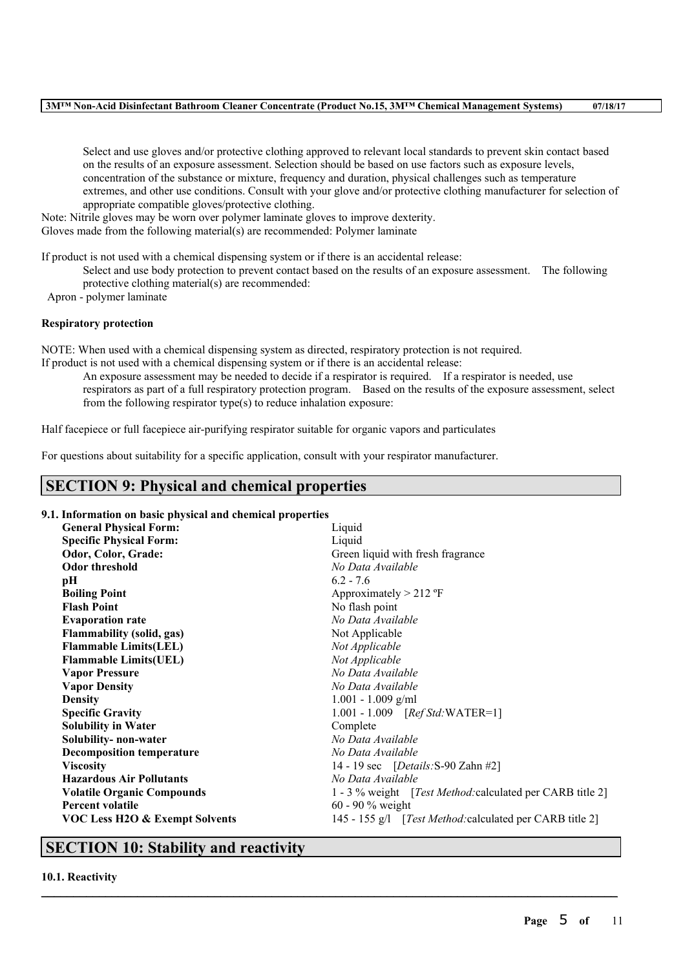Select and use gloves and/or protective clothing approved to relevant local standards to prevent skin contact based on the results of an exposure assessment. Selection should be based on use factors such as exposure levels, concentration of the substance or mixture, frequency and duration, physical challenges such as temperature extremes, and other use conditions. Consult with your glove and/or protective clothing manufacturer for selection of appropriate compatible gloves/protective clothing.

Note: Nitrile gloves may be worn over polymer laminate gloves to improve dexterity.

Gloves made from the following material(s) are recommended: Polymer laminate

If product is not used with a chemical dispensing system or if there is an accidental release:

Select and use body protection to prevent contact based on the results of an exposure assessment. The following protective clothing material(s) are recommended:

Apron - polymer laminate

## **Respiratory protection**

NOTE: When used with a chemical dispensing system as directed, respiratory protection is not required.

If product is not used with a chemical dispensing system or if there is an accidental release: An exposure assessment may be needed to decide if a respirator is required. If a respirator is needed, use respirators as part of a full respiratory protection program. Based on the results of the exposure assessment, select from the following respirator type(s) to reduce inhalation exposure:

Half facepiece or full facepiece air-purifying respirator suitable for organic vapors and particulates

For questions about suitability for a specific application, consult with your respirator manufacturer.

# **SECTION 9: Physical and chemical properties**

# **9.1. Information on basic physical and chemical properties**

| <b>General Physical Form:</b>             | Liquid                                                            |  |  |
|-------------------------------------------|-------------------------------------------------------------------|--|--|
| <b>Specific Physical Form:</b>            | Liquid                                                            |  |  |
| Odor, Color, Grade:                       | Green liquid with fresh fragrance                                 |  |  |
| Odor threshold                            | No Data Available                                                 |  |  |
| pН                                        | $6.2 - 7.6$                                                       |  |  |
| <b>Boiling Point</b>                      | Approximately $> 212$ °F                                          |  |  |
| <b>Flash Point</b>                        | No flash point                                                    |  |  |
| <b>Evaporation rate</b>                   | No Data Available                                                 |  |  |
| <b>Flammability (solid, gas)</b>          | Not Applicable                                                    |  |  |
| <b>Flammable Limits(LEL)</b>              | Not Applicable                                                    |  |  |
| <b>Flammable Limits(UEL)</b>              | Not Applicable                                                    |  |  |
| <b>Vapor Pressure</b>                     | No Data Available                                                 |  |  |
| <b>Vapor Density</b>                      | No Data Available                                                 |  |  |
| <b>Density</b>                            | $1.001 - 1.009$ g/ml                                              |  |  |
| <b>Specific Gravity</b>                   | $1.001 - 1.009$ [ <i>Ref Std</i> : WATER=1]                       |  |  |
| <b>Solubility in Water</b>                | Complete                                                          |  |  |
| Solubility- non-water                     | No Data Available                                                 |  |  |
| <b>Decomposition temperature</b>          | No Data Available                                                 |  |  |
| <b>Viscosity</b>                          | 14 - 19 sec [ <i>Details</i> : S-90 Zahn #2]                      |  |  |
| <b>Hazardous Air Pollutants</b>           | No Data Available                                                 |  |  |
| <b>Volatile Organic Compounds</b>         | 1 - 3 % weight [ <i>Test Method:calculated per CARB title 2</i> ] |  |  |
| <b>Percent volatile</b>                   | $60 - 90 \%$ weight                                               |  |  |
| <b>VOC Less H2O &amp; Exempt Solvents</b> | 145 - 155 g/l [Test Method: calculated per CARB title 2]          |  |  |

 $\mathcal{L}_\mathcal{L} = \mathcal{L}_\mathcal{L} = \mathcal{L}_\mathcal{L} = \mathcal{L}_\mathcal{L} = \mathcal{L}_\mathcal{L} = \mathcal{L}_\mathcal{L} = \mathcal{L}_\mathcal{L} = \mathcal{L}_\mathcal{L} = \mathcal{L}_\mathcal{L} = \mathcal{L}_\mathcal{L} = \mathcal{L}_\mathcal{L} = \mathcal{L}_\mathcal{L} = \mathcal{L}_\mathcal{L} = \mathcal{L}_\mathcal{L} = \mathcal{L}_\mathcal{L} = \mathcal{L}_\mathcal{L} = \mathcal{L}_\mathcal{L}$ 

# **SECTION 10: Stability and reactivity**

**10.1. Reactivity**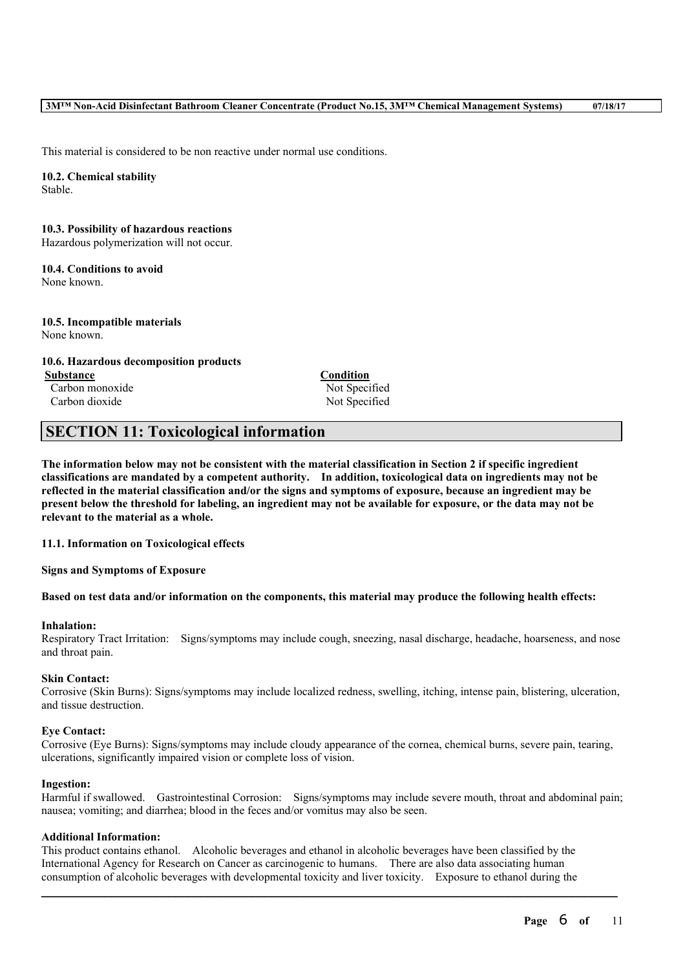This material is considered to be non reactive under normal use conditions.

**10.2. Chemical stability** Stable.

**10.3. Possibility of hazardous reactions** Hazardous polymerization will not occur.

**10.4. Conditions to avoid** None known.

**10.5. Incompatible materials** None known.

**10.6. Hazardous decomposition products**

Carbon monoxide Not Specified

**Substance Condition** Carbon dioxide Not Specified

# **SECTION 11: Toxicological information**

The information below may not be consistent with the material classification in Section 2 if specific ingredient **classifications are mandated by a competent authority. In addition, toxicological data on ingredients may not be** reflected in the material classification and/or the signs and symptoms of exposure, because an ingredient may be present below the threshold for labeling, an ingredient may not be available for exposure, or the data may not be **relevant to the material as a whole.**

**11.1. Information on Toxicological effects**

**Signs and Symptoms of Exposure**

#### Based on test data and/or information on the components, this material may produce the following health effects:

#### **Inhalation:**

Respiratory Tract Irritation: Signs/symptoms may include cough, sneezing, nasal discharge, headache, hoarseness, and nose and throat pain.

#### **Skin Contact:**

Corrosive (Skin Burns): Signs/symptoms may include localized redness, swelling, itching, intense pain, blistering, ulceration, and tissue destruction.

#### **Eye Contact:**

Corrosive (Eye Burns): Signs/symptoms may include cloudy appearance of the cornea, chemical burns, severe pain, tearing, ulcerations, significantly impaired vision or complete loss of vision.

#### **Ingestion:**

Harmful if swallowed. Gastrointestinal Corrosion: Signs/symptoms may include severe mouth, throat and abdominal pain; nausea; vomiting; and diarrhea; blood in the feces and/or vomitus may also be seen.

 $\mathcal{L}_\mathcal{L} = \mathcal{L}_\mathcal{L} = \mathcal{L}_\mathcal{L} = \mathcal{L}_\mathcal{L} = \mathcal{L}_\mathcal{L} = \mathcal{L}_\mathcal{L} = \mathcal{L}_\mathcal{L} = \mathcal{L}_\mathcal{L} = \mathcal{L}_\mathcal{L} = \mathcal{L}_\mathcal{L} = \mathcal{L}_\mathcal{L} = \mathcal{L}_\mathcal{L} = \mathcal{L}_\mathcal{L} = \mathcal{L}_\mathcal{L} = \mathcal{L}_\mathcal{L} = \mathcal{L}_\mathcal{L} = \mathcal{L}_\mathcal{L}$ 

# **Additional Information:**

This product contains ethanol. Alcoholic beverages and ethanol in alcoholic beverages have been classified by the International Agency for Research on Cancer as carcinogenic to humans. There are also data associating human consumption of alcoholic beverages with developmental toxicity and liver toxicity. Exposure to ethanol during the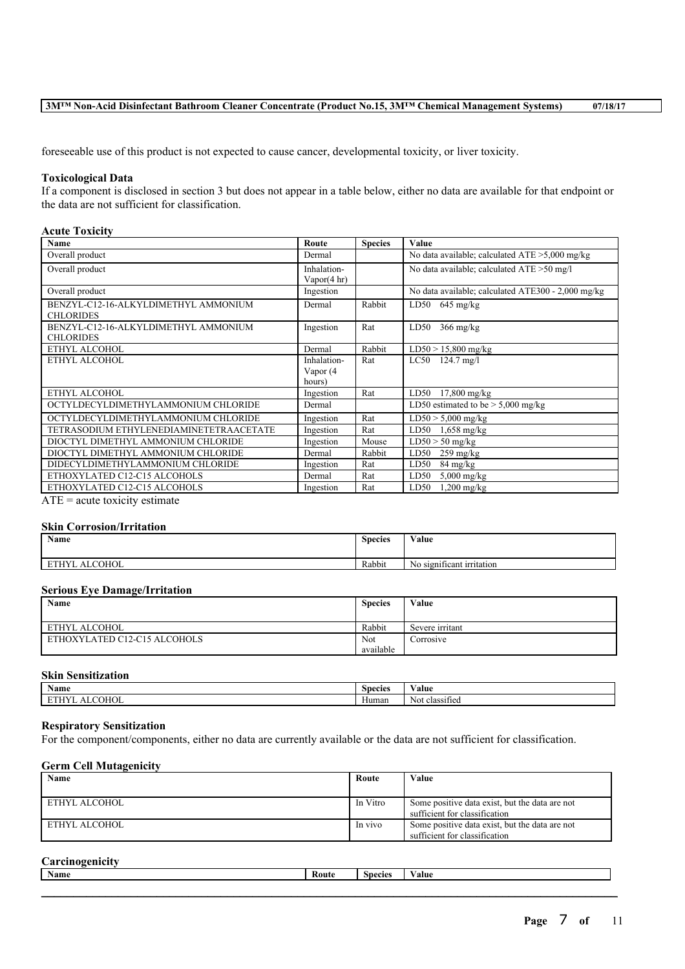foreseeable use of this product is not expected to cause cancer, developmental toxicity, or liver toxicity.

#### **Toxicological Data**

If a component is disclosed in section 3 but does not appear in a table below, either no data are available for that endpoint or the data are not sufficient for classification.

## **Acute Toxicity**

| Name                                    | Route       | <b>Species</b> | Value                                              |
|-----------------------------------------|-------------|----------------|----------------------------------------------------|
| Overall product                         | Dermal      |                | No data available; calculated $ATE > 5,000$ mg/kg  |
| Overall product                         | Inhalation- |                | No data available; calculated ATE > 50 mg/l        |
|                                         | Vapor(4 hr) |                |                                                    |
| Overall product                         | Ingestion   |                | No data available; calculated ATE300 - 2,000 mg/kg |
| BENZYL-C12-16-ALKYLDIMETHYL AMMONIUM    | Dermal      | Rabbit         | LD50<br>$645 \text{ mg/kg}$                        |
| <b>CHLORIDES</b>                        |             |                |                                                    |
| BENZYL-C12-16-ALKYLDIMETHYL AMMONIUM    | Ingestion   | Rat            | $366$ mg/kg<br>LD50                                |
| <b>CHLORIDES</b>                        |             |                |                                                    |
| ETHYL ALCOHOL                           | Dermal      | Rabbit         | $LD50 > 15,800$ mg/kg                              |
| ETHYL ALCOHOL                           | Inhalation- | Rat            | LC50<br>$124.7 \text{ mg}/l$                       |
|                                         | Vapor (4    |                |                                                    |
|                                         | hours)      |                |                                                    |
| ETHYL ALCOHOL                           | Ingestion   | Rat            | $17,800$ mg/kg<br>LD50                             |
| OCTYLDECYLDIMETHYLAMMONIUM CHLORIDE     | Dermal      |                | LD50 estimated to be $> 5,000$ mg/kg               |
| OCTYLDECYLDIMETHYLAMMONIUM CHLORIDE     | Ingestion   | Rat            | $LD50 > 5,000$ mg/kg                               |
| TETRASODIUM ETHYLENEDIAMINETETRAACETATE | Ingestion   | Rat            | LD50<br>$1,658$ mg/kg                              |
| DIOCTYL DIMETHYL AMMONIUM CHLORIDE      | Ingestion   | Mouse          | $LD50 > 50$ mg/kg                                  |
| DIOCTYL DIMETHYL AMMONIUM CHLORIDE      | Dermal      | Rabbit         | LD50<br>$259 \text{ mg/kg}$                        |
| DIDECYLDIMETHYLAMMONIUM CHLORIDE        | Ingestion   | Rat            | LD50<br>$84 \text{ mg/kg}$                         |
| ETHOXYLATED C12-C15 ALCOHOLS            | Dermal      | Rat            | $5,000$ mg/kg<br>LD50                              |
| ETHOXYLATED C12-C15 ALCOHOLS            | Ingestion   | Rat            | $1,200$ mg/kg<br>LD50                              |

 $ATE = acute$  toxicity estimate

## **Skin Corrosion/Irritation**

| <b>Name</b>                                | <b>Species</b> | Value                                          |
|--------------------------------------------|----------------|------------------------------------------------|
| <b>ALCOHOL</b><br><b>PERTY</b><br>12 I I I | Rabbit         | . .<br>$\sim$<br>significant irritation<br>N0. |

#### **Serious Eye Damage/Irritation**

| <b>Name</b>                  | <b>Species</b> | Value           |
|------------------------------|----------------|-----------------|
| ETHYL ALCOHOL                | Rabbit         | Severe irritant |
| ETHOXYLATED C12-C15 ALCOHOLS | Not            | Corrosive       |
|                              | available      |                 |

# **Skin Sensitization**

| Name                        | $\sim$<br>Species | 'alue                                  |
|-----------------------------|-------------------|----------------------------------------|
| ALCOHOL<br><b>1750</b><br>. | v.<br>Human       | <b>CONTRACTOR</b><br>classified<br>Not |

#### **Respiratory Sensitization**

For the component/components, either no data are currently available or the data are not sufficient for classification.

#### **Germ Cell Mutagenicity**

| <b>Name</b>   | Route    | Value                                          |
|---------------|----------|------------------------------------------------|
|               |          |                                                |
| ETHYL ALCOHOL | In Vitro | Some positive data exist, but the data are not |
|               |          | sufficient for classification                  |
| ETHYL ALCOHOL | In vivo  | Some positive data exist, but the data are not |
|               |          | sufficient for classification                  |

## **Carcinogenicity**

| <b>B</b> T<br>Name | Koute | $\sim$<br>Snecies | alue |
|--------------------|-------|-------------------|------|
|                    |       |                   |      |
|                    |       |                   |      |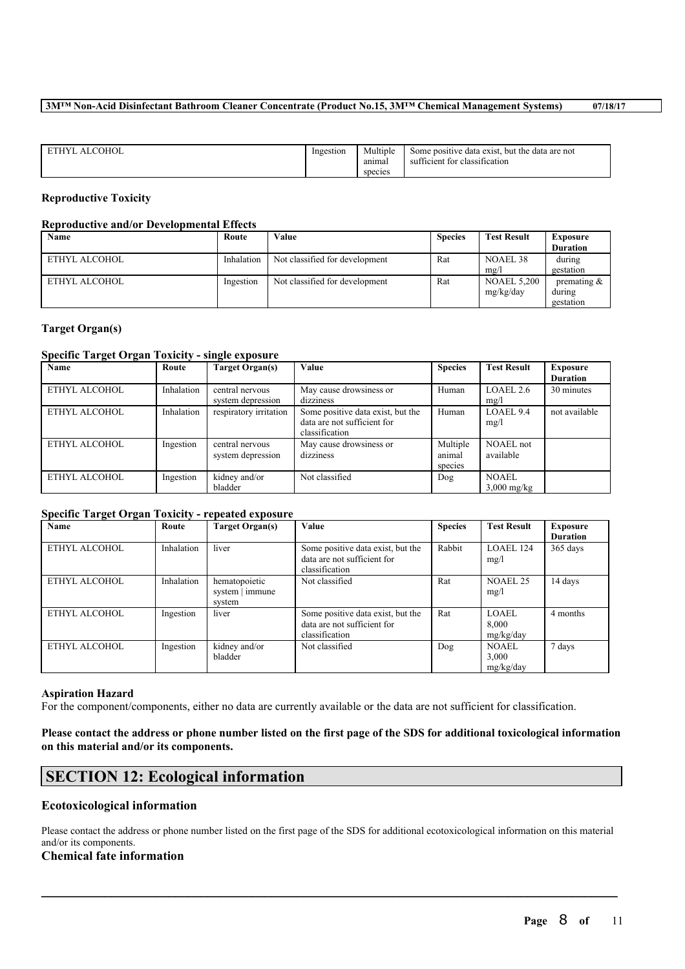| <b>COHOL</b><br><b>HY</b><br>$\mathbf{A}^{\intercal}$ | Ingestion | 3.7.1.1.1<br>Multiple<br>anımal | Some positive data exist, but the data are not<br>. me<br>sufficient for classification |
|-------------------------------------------------------|-----------|---------------------------------|-----------------------------------------------------------------------------------------|
|                                                       |           |                                 |                                                                                         |
|                                                       |           | species                         |                                                                                         |

# **Reproductive Toxicity**

# **Reproductive and/or Developmental Effects**

| Name          | Route      | Value                          | <b>Species</b> | <b>Test Result</b>              | <b>Exposure</b><br><b>Duration</b>    |
|---------------|------------|--------------------------------|----------------|---------------------------------|---------------------------------------|
| ETHYL ALCOHOL | Inhalation | Not classified for development | Rat            | <b>NOAEL 38</b><br>mg/i         | during<br>gestation                   |
| ETHYL ALCOHOL | Ingestion  | Not classified for development | Rat            | <b>NOAEL 5.200</b><br>mg/kg/day | premating $\&$<br>during<br>gestation |

### **Target Organ(s)**

#### **Specific Target Organ Toxicity - single exposure**

| Name          | Route      | Target Organ(s)        | Value                             | <b>Species</b> | <b>Test Result</b>    | Exposure        |
|---------------|------------|------------------------|-----------------------------------|----------------|-----------------------|-----------------|
|               |            |                        |                                   |                |                       | <b>Duration</b> |
| ETHYL ALCOHOL | Inhalation | central nervous        | May cause drowsiness or           | Human          | LOAEL 2.6             | 30 minutes      |
|               |            | system depression      | dizziness                         |                | mg/l                  |                 |
| ETHYL ALCOHOL | Inhalation | respiratory irritation | Some positive data exist, but the | Human          | LOAEL 9.4             | not available   |
|               |            |                        | data are not sufficient for       |                | mg/l                  |                 |
|               |            |                        | classification                    |                |                       |                 |
| ETHYL ALCOHOL | Ingestion  | central nervous        | May cause drowsiness or           | Multiple       | NOAEL not             |                 |
|               |            | system depression      | dizziness                         | animal         | available             |                 |
|               |            |                        |                                   | species        |                       |                 |
| ETHYL ALCOHOL | Ingestion  | kidney and/or          | Not classified                    | Dog            | <b>NOAEL</b>          |                 |
|               |            | bladder                |                                   |                | $3,000 \text{ mg/kg}$ |                 |

#### **Specific Target Organ Toxicity - repeated exposure**

| Name          | Route      | Target Organ(s)                            | Value                                                                              | <b>Species</b> | <b>Test Result</b>                 | <b>Exposure</b><br><b>Duration</b> |
|---------------|------------|--------------------------------------------|------------------------------------------------------------------------------------|----------------|------------------------------------|------------------------------------|
| ETHYL ALCOHOL | Inhalation | liver                                      | Some positive data exist, but the<br>data are not sufficient for<br>classification | Rabbit         | LOAEL 124<br>mg/l                  | $365$ days                         |
| ETHYL ALCOHOL | Inhalation | hematopoietic<br>system   immune<br>system | Not classified                                                                     | Rat            | NOAEL 25<br>mg/l                   | 14 days                            |
| ETHYL ALCOHOL | Ingestion  | liver                                      | Some positive data exist, but the<br>data are not sufficient for<br>classification | Rat            | LOAEL<br>8.000<br>mg/kg/day        | 4 months                           |
| ETHYL ALCOHOL | Ingestion  | kidney and/or<br>bladder                   | Not classified                                                                     | Dog            | <b>NOAEL</b><br>3,000<br>mg/kg/day | 7 days                             |

#### **Aspiration Hazard**

For the component/components, either no data are currently available or the data are not sufficient for classification.

# Please contact the address or phone number listed on the first page of the SDS for additional toxicological information **on this material and/or its components.**

# **SECTION 12: Ecological information**

# **Ecotoxicological information**

Please contact the address or phone number listed on the first page of the SDS for additional ecotoxicological information on this material and/or its components.

 $\mathcal{L}_\mathcal{L} = \mathcal{L}_\mathcal{L} = \mathcal{L}_\mathcal{L} = \mathcal{L}_\mathcal{L} = \mathcal{L}_\mathcal{L} = \mathcal{L}_\mathcal{L} = \mathcal{L}_\mathcal{L} = \mathcal{L}_\mathcal{L} = \mathcal{L}_\mathcal{L} = \mathcal{L}_\mathcal{L} = \mathcal{L}_\mathcal{L} = \mathcal{L}_\mathcal{L} = \mathcal{L}_\mathcal{L} = \mathcal{L}_\mathcal{L} = \mathcal{L}_\mathcal{L} = \mathcal{L}_\mathcal{L} = \mathcal{L}_\mathcal{L}$ 

# **Chemical fate information**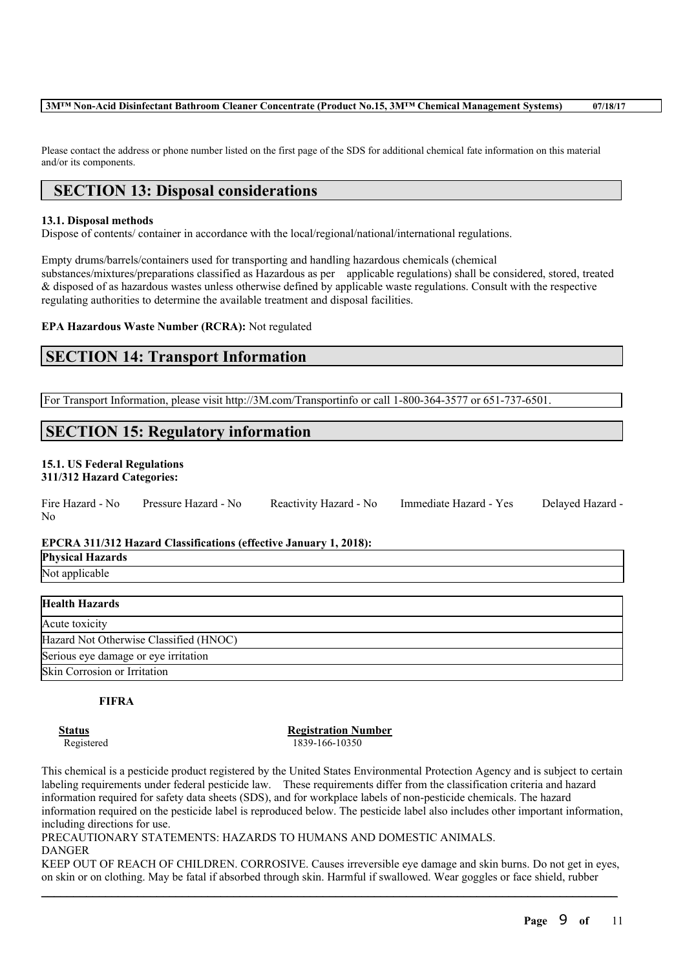Please contact the address or phone number listed on the first page of the SDS for additional chemical fate information on this material and/or its components.

# **SECTION 13: Disposal considerations**

# **13.1. Disposal methods**

Dispose of contents/ container in accordance with the local/regional/national/international regulations.

Empty drums/barrels/containers used for transporting and handling hazardous chemicals (chemical substances/mixtures/preparations classified as Hazardous as per applicable regulations) shall be considered, stored, treated & disposed of as hazardous wastes unless otherwise defined by applicable waste regulations. Consult with the respective regulating authorities to determine the available treatment and disposal facilities.

# **EPA Hazardous Waste Number (RCRA):** Not regulated

# **SECTION 14: Transport Information**

For Transport Information, please visit http://3M.com/Transportinfo or call 1-800-364-3577 or 651-737-6501.

# **SECTION 15: Regulatory information**

# **15.1. US Federal Regulations**

**311/312 Hazard Categories:**

| Fire Hazard - No<br>N <sub>0</sub> | Pressure Hazard - No                                                     | Reactivity Hazard - No | Immediate Hazard - Yes | Delayed Hazard - |
|------------------------------------|--------------------------------------------------------------------------|------------------------|------------------------|------------------|
|                                    | <b>EPCRA 311/312 Hazard Classifications (effective January 1, 2018):</b> |                        |                        |                  |
| <b>Physical Hazards</b>            |                                                                          |                        |                        |                  |
| Not applicable                     |                                                                          |                        |                        |                  |
| 11 11 11 11                        |                                                                          |                        |                        |                  |

| <b>Health Hazards</b>                  |
|----------------------------------------|
| Acute toxicity                         |
| Hazard Not Otherwise Classified (HNOC) |
| Serious eye damage or eye irritation   |
| Skin Corrosion or Irritation           |

# **FIFRA**

**Status Registration Number** Registered 1839-166-10350

This chemical is a pesticide product registered by the United States Environmental Protection Agency and is subject to certain labeling requirements under federal pesticide law. These requirements differ from the classification criteria and hazard information required for safety data sheets (SDS), and for workplace labels of non-pesticide chemicals. The hazard information required on the pesticide label is reproduced below. The pesticide label also includes other important information, including directions for use.

PRECAUTIONARY STATEMENTS: HAZARDS TO HUMANS AND DOMESTIC ANIMALS. DANGER

 $\mathcal{L}_\mathcal{L} = \mathcal{L}_\mathcal{L} = \mathcal{L}_\mathcal{L} = \mathcal{L}_\mathcal{L} = \mathcal{L}_\mathcal{L} = \mathcal{L}_\mathcal{L} = \mathcal{L}_\mathcal{L} = \mathcal{L}_\mathcal{L} = \mathcal{L}_\mathcal{L} = \mathcal{L}_\mathcal{L} = \mathcal{L}_\mathcal{L} = \mathcal{L}_\mathcal{L} = \mathcal{L}_\mathcal{L} = \mathcal{L}_\mathcal{L} = \mathcal{L}_\mathcal{L} = \mathcal{L}_\mathcal{L} = \mathcal{L}_\mathcal{L}$ KEEP OUT OF REACH OF CHILDREN. CORROSIVE. Causes irreversible eye damage and skin burns. Do not get in eyes, on skin or on clothing. May be fatal if absorbed through skin. Harmful if swallowed. Wear goggles or face shield, rubber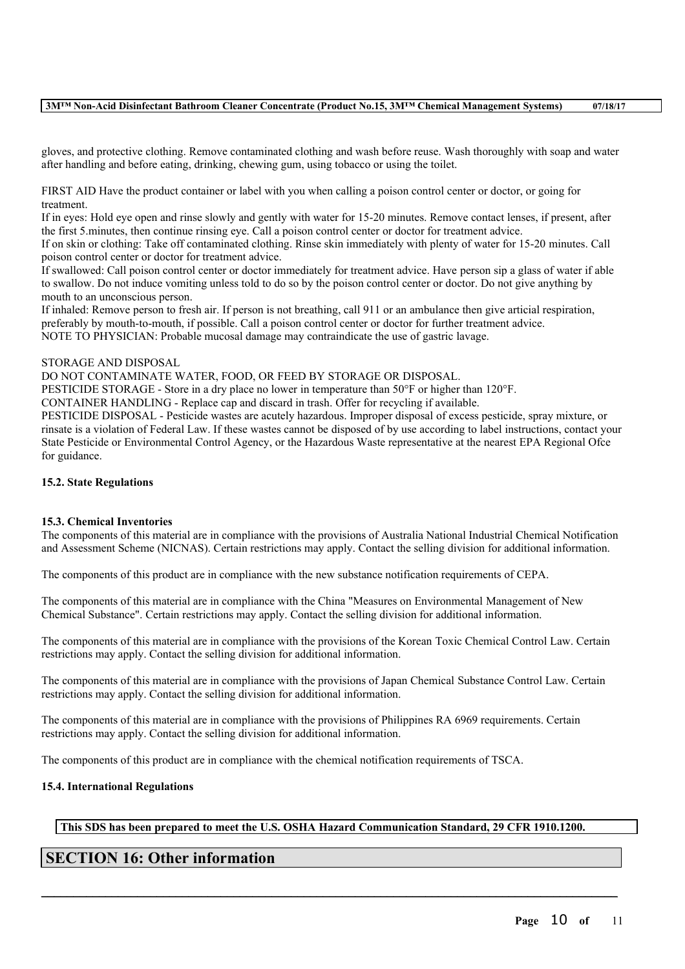gloves, and protective clothing. Remove contaminated clothing and wash before reuse. Wash thoroughly with soap and water after handling and before eating, drinking, chewing gum, using tobacco or using the toilet.

FIRST AID Have the product container or label with you when calling a poison control center or doctor, or going for treatment.

If in eyes: Hold eye open and rinse slowly and gently with water for 15-20 minutes. Remove contact lenses, if present, after the first 5.minutes, then continue rinsing eye. Call a poison control center or doctor for treatment advice.

If on skin or clothing: Take off contaminated clothing. Rinse skin immediately with plenty of water for 15-20 minutes. Call poison control center or doctor for treatment advice.

If swallowed: Call poison control center or doctor immediately for treatment advice. Have person sip a glass of water if able to swallow. Do not induce vomiting unless told to do so by the poison control center or doctor. Do not give anything by mouth to an unconscious person.

If inhaled: Remove person to fresh air. If person is not breathing, call 911 or an ambulance then give articial respiration, preferably by mouth-to-mouth, if possible. Call a poison control center or doctor for further treatment advice. NOTE TO PHYSICIAN: Probable mucosal damage may contraindicate the use of gastric lavage.

## STORAGE AND DISPOSAL

DO NOT CONTAMINATE WATER, FOOD, OR FEED BY STORAGE OR DISPOSAL.

PESTICIDE STORAGE - Store in a dry place no lower in temperature than 50°F or higher than 120°F.

CONTAINER HANDLING - Replace cap and discard in trash. Offer for recycling if available.

PESTICIDE DISPOSAL - Pesticide wastes are acutely hazardous. Improper disposal of excess pesticide, spray mixture, or rinsate is a violation of Federal Law. If these wastes cannot be disposed of by use according to label instructions, contact your State Pesticide or Environmental Control Agency, or the Hazardous Waste representative at the nearest EPA Regional Ofce for guidance.

# **15.2. State Regulations**

# **15.3. Chemical Inventories**

The components of this material are in compliance with the provisions of Australia National Industrial Chemical Notification and Assessment Scheme (NICNAS). Certain restrictions may apply. Contact the selling division for additional information.

The components of this product are in compliance with the new substance notification requirements of CEPA.

The components of this material are in compliance with the China "Measures on Environmental Management of New Chemical Substance". Certain restrictions may apply. Contact the selling division for additional information.

The components of this material are in compliance with the provisions of the Korean Toxic Chemical Control Law. Certain restrictions may apply. Contact the selling division for additional information.

The components of this material are in compliance with the provisions of Japan Chemical Substance Control Law. Certain restrictions may apply. Contact the selling division for additional information.

The components of this material are in compliance with the provisions of Philippines RA 6969 requirements. Certain restrictions may apply. Contact the selling division for additional information.

The components of this product are in compliance with the chemical notification requirements of TSCA.

# **15.4. International Regulations**

**This SDS has been prepared to meet the U.S. OSHA Hazard Communication Standard, 29 CFR 1910.1200.**

 $\mathcal{L}_\mathcal{L} = \mathcal{L}_\mathcal{L} = \mathcal{L}_\mathcal{L} = \mathcal{L}_\mathcal{L} = \mathcal{L}_\mathcal{L} = \mathcal{L}_\mathcal{L} = \mathcal{L}_\mathcal{L} = \mathcal{L}_\mathcal{L} = \mathcal{L}_\mathcal{L} = \mathcal{L}_\mathcal{L} = \mathcal{L}_\mathcal{L} = \mathcal{L}_\mathcal{L} = \mathcal{L}_\mathcal{L} = \mathcal{L}_\mathcal{L} = \mathcal{L}_\mathcal{L} = \mathcal{L}_\mathcal{L} = \mathcal{L}_\mathcal{L}$ 

# **SECTION 16: Other information**